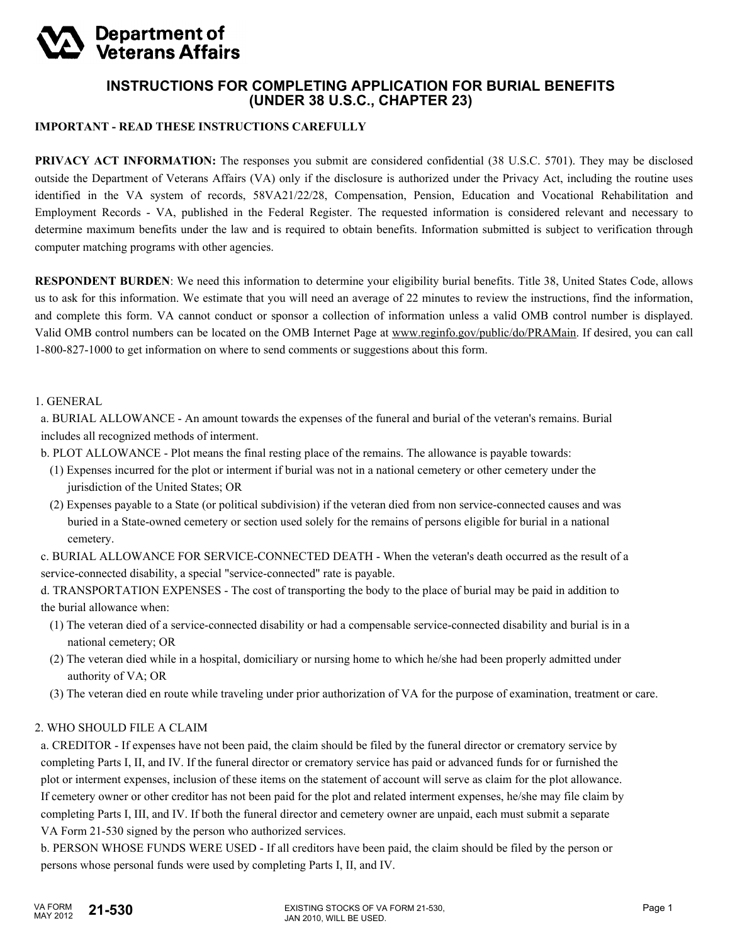# **Department of<br>Veterans Affairs**

## **INSTRUCTIONS FOR COMPLETING APPLICATION FOR BURIAL BENEFITS (UNDER 38 U.S.C., CHAPTER 23)**

### **IMPORTANT - READ THESE INSTRUCTIONS CAREFULLY**

**PRIVACY ACT INFORMATION:** The responses you submit are considered confidential (38 U.S.C. 5701). They may be disclosed outside the Department of Veterans Affairs (VA) only if the disclosure is authorized under the Privacy Act, including the routine uses identified in the VA system of records, 58VA21/22/28, Compensation, Pension, Education and Vocational Rehabilitation and Employment Records - VA, published in the Federal Register. The requested information is considered relevant and necessary to determine maximum benefits under the law and is required to obtain benefits. Information submitted is subject to verification through computer matching programs with other agencies.

**RESPONDENT BURDEN**: We need this information to determine your eligibility burial benefits. Title 38, United States Code, allows us to ask for this information. We estimate that you will need an average of 22 minutes to review the instructions, find the information, and complete this form. VA cannot conduct or sponsor a collection of information unless a valid OMB control number is displayed. Valid OMB control numbers can be located on the OMB Internet Page at www.reginfo.gov/public/do/PRAMain. If desired, you can call 1-800-827-1000 to get information on where to send comments or suggestions about this form.

#### 1. GENERAL

 a. BURIAL ALLOWANCE - An amount towards the expenses of the funeral and burial of the veteran's remains. Burial includes all recognized methods of interment.

b. PLOT ALLOWANCE - Plot means the final resting place of the remains. The allowance is payable towards:

- (1) Expenses incurred for the plot or interment if burial was not in a national cemetery or other cemetery under the jurisdiction of the United States; OR
- (2) Expenses payable to a State (or political subdivision) if the veteran died from non service-connected causes and was buried in a State-owned cemetery or section used solely for the remains of persons eligible for burial in a national cemetery.

 c. BURIAL ALLOWANCE FOR SERVICE-CONNECTED DEATH - When the veteran's death occurred as the result of a service-connected disability, a special "service-connected" rate is payable.

 d. TRANSPORTATION EXPENSES - The cost of transporting the body to the place of burial may be paid in addition to the burial allowance when:

- (1) The veteran died of a service-connected disability or had a compensable service-connected disability and burial is in a national cemetery; OR
- (2) The veteran died while in a hospital, domiciliary or nursing home to which he/she had been properly admitted under authority of VA; OR
- (3) The veteran died en route while traveling under prior authorization of VA for the purpose of examination, treatment or care.

## 2. WHO SHOULD FILE A CLAIM

 a. CREDITOR - If expenses have not been paid, the claim should be filed by the funeral director or crematory service by completing Parts I, II, and IV. If the funeral director or crematory service has paid or advanced funds for or furnished the plot or interment expenses, inclusion of these items on the statement of account will serve as claim for the plot allowance. If cemetery owner or other creditor has not been paid for the plot and related interment expenses, he/she may file claim by completing Parts I, III, and IV. If both the funeral director and cemetery owner are unpaid, each must submit a separate VA Form 21-530 signed by the person who authorized services.

 b. PERSON WHOSE FUNDS WERE USED - If all creditors have been paid, the claim should be filed by the person or persons whose personal funds were used by completing Parts I, II, and IV.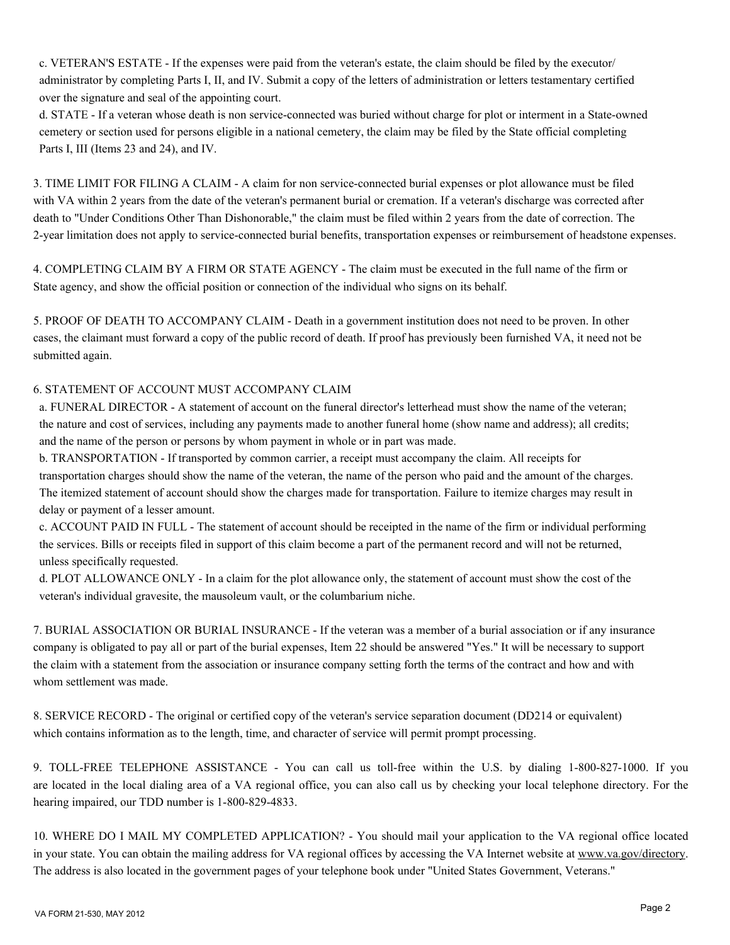c. VETERAN'S ESTATE - If the expenses were paid from the veteran's estate, the claim should be filed by the executor/ administrator by completing Parts I, II, and IV. Submit a copy of the letters of administration or letters testamentary certified over the signature and seal of the appointing court.

 d. STATE - If a veteran whose death is non service-connected was buried without charge for plot or interment in a State-owned cemetery or section used for persons eligible in a national cemetery, the claim may be filed by the State official completing Parts I, III (Items 23 and 24), and IV.

3. TIME LIMIT FOR FILING A CLAIM - A claim for non service-connected burial expenses or plot allowance must be filed with VA within 2 years from the date of the veteran's permanent burial or cremation. If a veteran's discharge was corrected after death to "Under Conditions Other Than Dishonorable," the claim must be filed within 2 years from the date of correction. The 2-year limitation does not apply to service-connected burial benefits, transportation expenses or reimbursement of headstone expenses.

4. COMPLETING CLAIM BY A FIRM OR STATE AGENCY - The claim must be executed in the full name of the firm or State agency, and show the official position or connection of the individual who signs on its behalf.

5. PROOF OF DEATH TO ACCOMPANY CLAIM - Death in a government institution does not need to be proven. In other cases, the claimant must forward a copy of the public record of death. If proof has previously been furnished VA, it need not be submitted again.

## 6. STATEMENT OF ACCOUNT MUST ACCOMPANY CLAIM

 a. FUNERAL DIRECTOR - A statement of account on the funeral director's letterhead must show the name of the veteran; the nature and cost of services, including any payments made to another funeral home (show name and address); all credits; and the name of the person or persons by whom payment in whole or in part was made.

 b. TRANSPORTATION - If transported by common carrier, a receipt must accompany the claim. All receipts for transportation charges should show the name of the veteran, the name of the person who paid and the amount of the charges. The itemized statement of account should show the charges made for transportation. Failure to itemize charges may result in delay or payment of a lesser amount.

 c. ACCOUNT PAID IN FULL - The statement of account should be receipted in the name of the firm or individual performing the services. Bills or receipts filed in support of this claim become a part of the permanent record and will not be returned, unless specifically requested.

 d. PLOT ALLOWANCE ONLY - In a claim for the plot allowance only, the statement of account must show the cost of the veteran's individual gravesite, the mausoleum vault, or the columbarium niche.

7. BURIAL ASSOCIATION OR BURIAL INSURANCE - If the veteran was a member of a burial association or if any insurance company is obligated to pay all or part of the burial expenses, Item 22 should be answered "Yes." It will be necessary to support the claim with a statement from the association or insurance company setting forth the terms of the contract and how and with whom settlement was made.

8. SERVICE RECORD - The original or certified copy of the veteran's service separation document (DD214 or equivalent) which contains information as to the length, time, and character of service will permit prompt processing.

9. TOLL-FREE TELEPHONE ASSISTANCE - You can call us toll-free within the U.S. by dialing 1-800-827-1000. If you are located in the local dialing area of a VA regional office, you can also call us by checking your local telephone directory. For the hearing impaired, our TDD number is 1-800-829-4833.

10. WHERE DO I MAIL MY COMPLETED APPLICATION? - You should mail your application to the VA regional office located in your state. You can obtain the mailing address for VA regional offices by accessing the VA Internet website at www.va.gov/directory. The address is also located in the government pages of your telephone book under "United States Government, Veterans."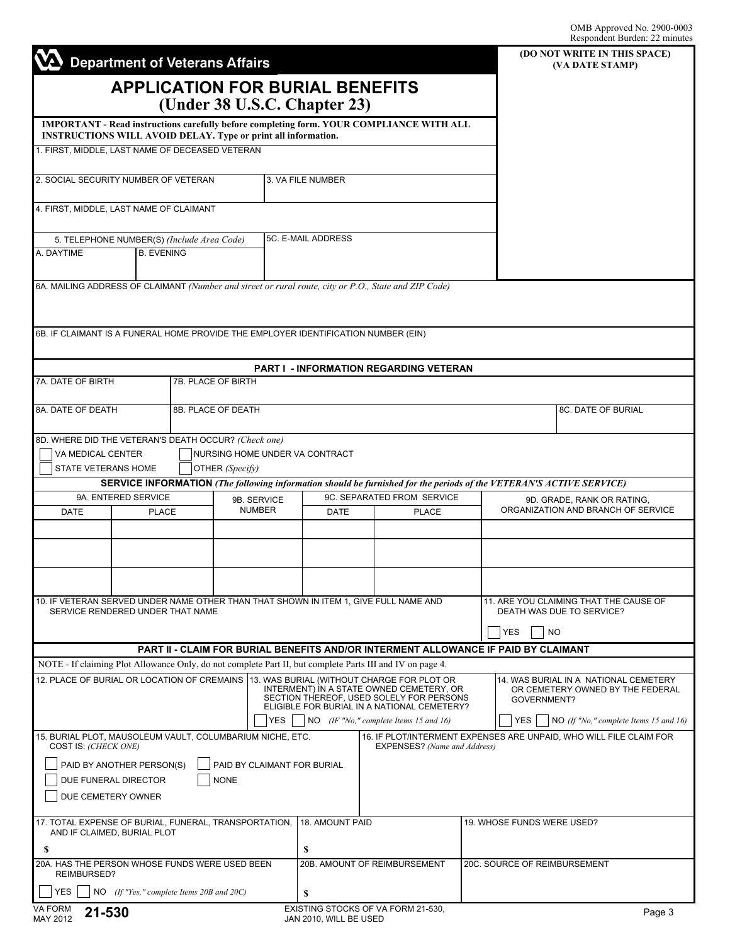|                                                                                                                          | <b>Department of Veterans Affairs</b>                                                   | (DO NOT WRITE IN THIS SPACE)<br>(VA DATE STAMP)                                                           |                              |                                                                                                      |                                                                    |                                                                                                                     |  |
|--------------------------------------------------------------------------------------------------------------------------|-----------------------------------------------------------------------------------------|-----------------------------------------------------------------------------------------------------------|------------------------------|------------------------------------------------------------------------------------------------------|--------------------------------------------------------------------|---------------------------------------------------------------------------------------------------------------------|--|
|                                                                                                                          |                                                                                         | <b>APPLICATION FOR BURIAL BENEFITS</b><br>(Under 38 U.S.C. Chapter 23)                                    |                              |                                                                                                      |                                                                    |                                                                                                                     |  |
|                                                                                                                          |                                                                                         |                                                                                                           |                              | IMPORTANT - Read instructions carefully before completing form. YOUR COMPLIANCE WITH ALL             |                                                                    |                                                                                                                     |  |
|                                                                                                                          | 1. FIRST, MIDDLE, LAST NAME OF DECEASED VETERAN                                         | INSTRUCTIONS WILL AVOID DELAY. Type or print all information.                                             |                              |                                                                                                      |                                                                    |                                                                                                                     |  |
|                                                                                                                          |                                                                                         |                                                                                                           |                              |                                                                                                      |                                                                    |                                                                                                                     |  |
| 2. SOCIAL SECURITY NUMBER OF VETERAN                                                                                     |                                                                                         |                                                                                                           | 3. VA FILE NUMBER            |                                                                                                      |                                                                    |                                                                                                                     |  |
|                                                                                                                          | 4. FIRST, MIDDLE, LAST NAME OF CLAIMANT                                                 |                                                                                                           |                              |                                                                                                      |                                                                    |                                                                                                                     |  |
| 5. TELEPHONE NUMBER(S) (Include Area Code)                                                                               |                                                                                         |                                                                                                           | 5C. E-MAIL ADDRESS           |                                                                                                      |                                                                    |                                                                                                                     |  |
| A. DAYTIME                                                                                                               | <b>B. EVENING</b>                                                                       |                                                                                                           |                              |                                                                                                      |                                                                    |                                                                                                                     |  |
|                                                                                                                          |                                                                                         |                                                                                                           |                              | 6A. MAILING ADDRESS OF CLAIMANT (Number and street or rural route, city or P.O., State and ZIP Code) |                                                                    |                                                                                                                     |  |
|                                                                                                                          |                                                                                         |                                                                                                           |                              |                                                                                                      |                                                                    |                                                                                                                     |  |
|                                                                                                                          |                                                                                         | 6B. IF CLAIMANT IS A FUNERAL HOME PROVIDE THE EMPLOYER IDENTIFICATION NUMBER (EIN)                        |                              |                                                                                                      |                                                                    |                                                                                                                     |  |
|                                                                                                                          |                                                                                         |                                                                                                           |                              | PART I - INFORMATION REGARDING VETERAN                                                               |                                                                    |                                                                                                                     |  |
| <b>7A. DATE OF BIRTH</b>                                                                                                 |                                                                                         | 7B. PLACE OF BIRTH                                                                                        |                              |                                                                                                      |                                                                    |                                                                                                                     |  |
| 8A. DATE OF DEATH                                                                                                        | 8B. PLACE OF DEATH                                                                      |                                                                                                           |                              |                                                                                                      | 8C. DATE OF BURIAL                                                 |                                                                                                                     |  |
|                                                                                                                          |                                                                                         | 8D. WHERE DID THE VETERAN'S DEATH OCCUR? (Check one)                                                      |                              |                                                                                                      |                                                                    |                                                                                                                     |  |
| VA MEDICAL CENTER<br>STATE VETERANS HOME                                                                                 |                                                                                         | NURSING HOME UNDER VA CONTRACT<br>OTHER (Specify)                                                         |                              |                                                                                                      |                                                                    |                                                                                                                     |  |
|                                                                                                                          |                                                                                         |                                                                                                           |                              |                                                                                                      |                                                                    | SERVICE INFORMATION (The following information should be furnished for the periods of the VETERAN'S ACTIVE SERVICE) |  |
| 9A. ENTERED SERVICE                                                                                                      |                                                                                         | 9B. SERVICE<br><b>NUMBER</b>                                                                              |                              | 9C. SEPARATED FROM SERVICE                                                                           |                                                                    | 9D. GRADE, RANK OR RATING,<br>ORGANIZATION AND BRANCH OF SERVICE                                                    |  |
| <b>DATE</b><br><b>PLACE</b>                                                                                              |                                                                                         |                                                                                                           | DATE                         | <b>PLACE</b>                                                                                         |                                                                    |                                                                                                                     |  |
|                                                                                                                          |                                                                                         |                                                                                                           |                              |                                                                                                      |                                                                    |                                                                                                                     |  |
|                                                                                                                          |                                                                                         |                                                                                                           |                              |                                                                                                      |                                                                    |                                                                                                                     |  |
|                                                                                                                          |                                                                                         |                                                                                                           |                              |                                                                                                      |                                                                    | 11. ARE YOU CLAIMING THAT THE CAUSE OF                                                                              |  |
| 10. IF VETERAN SERVED UNDER NAME OTHER THAN THAT SHOWN IN ITEM 1, GIVE FULL NAME AND<br>SERVICE RENDERED UNDER THAT NAME |                                                                                         |                                                                                                           |                              |                                                                                                      |                                                                    | DEATH WAS DUE TO SERVICE?<br><b>YES</b><br><b>NO</b>                                                                |  |
|                                                                                                                          |                                                                                         |                                                                                                           |                              | PART II - CLAIM FOR BURIAL BENEFITS AND/OR INTERMENT ALLOWANCE IF PAID BY CLAIMANT                   |                                                                    |                                                                                                                     |  |
|                                                                                                                          |                                                                                         | NOTE - If claiming Plot Allowance Only, do not complete Part II, but complete Parts III and IV on page 4. |                              |                                                                                                      |                                                                    |                                                                                                                     |  |
|                                                                                                                          | 12. PLACE OF BURIAL OR LOCATION OF CREMAINS  13. WAS BURIAL (WITHOUT CHARGE FOR PLOT OR | 14. WAS BURIAL IN A NATIONAL CEMETERY<br>OR CEMETERY OWNED BY THE FEDERAL<br>GOVERNMENT?                  |                              |                                                                                                      |                                                                    |                                                                                                                     |  |
|                                                                                                                          |                                                                                         | <b>YES</b>                                                                                                |                              | ELIGIBLE FOR BURIAL IN A NATIONAL CEMETERY?<br>$NO$ (IF "No," complete Items 15 and 16)              |                                                                    | YES<br>NO $(If "No," complete items 15 and 16)$                                                                     |  |
| COST IS: (CHECK ONE)                                                                                                     | 15. BURIAL PLOT, MAUSOLEUM VAULT, COLUMBARIUM NICHE, ETC.                               |                                                                                                           | EXPENSES? (Name and Address) |                                                                                                      | 16. IF PLOT/INTERMENT EXPENSES ARE UNPAID, WHO WILL FILE CLAIM FOR |                                                                                                                     |  |
|                                                                                                                          | PAID BY ANOTHER PERSON(S)                                                               | PAID BY CLAIMANT FOR BURIAL                                                                               |                              |                                                                                                      |                                                                    |                                                                                                                     |  |
|                                                                                                                          | DUE FUNERAL DIRECTOR                                                                    | <b>NONE</b>                                                                                               |                              |                                                                                                      |                                                                    |                                                                                                                     |  |
|                                                                                                                          | DUE CEMETERY OWNER                                                                      |                                                                                                           |                              |                                                                                                      |                                                                    |                                                                                                                     |  |
| 17. TOTAL EXPENSE OF BURIAL, FUNERAL, TRANSPORTATION, 18. AMOUNT PAID<br>AND IF CLAIMED, BURIAL PLOT                     |                                                                                         |                                                                                                           |                              |                                                                                                      |                                                                    | 19. WHOSE FUNDS WERE USED?                                                                                          |  |
| S<br>20A. HAS THE PERSON WHOSE FUNDS WERE USED BEEN                                                                      |                                                                                         |                                                                                                           | S                            | 20B. AMOUNT OF REIMBURSEMENT                                                                         |                                                                    | 20C. SOURCE OF REIMBURSEMENT                                                                                        |  |
| REIMBURSED?                                                                                                              |                                                                                         |                                                                                                           |                              |                                                                                                      |                                                                    |                                                                                                                     |  |
| <b>YES</b>                                                                                                               | NO (If "Yes," complete Items 20B and 20C)                                               |                                                                                                           | \$                           |                                                                                                      |                                                                    |                                                                                                                     |  |
| VA FORM<br>21-530<br>MAY 2012                                                                                            |                                                                                         |                                                                                                           | JAN 2010, WILL BE USED       | EXISTING STOCKS OF VA FORM 21-530,                                                                   |                                                                    | Page 3                                                                                                              |  |